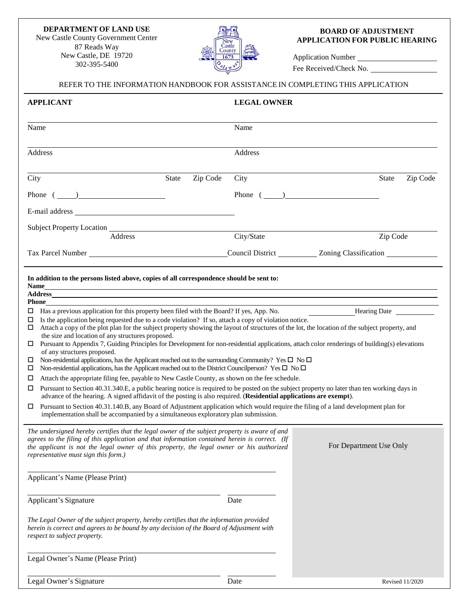## **DEPARTMENT OF LAND USE**

New Castle County Government Center 87 Reads Way New Castle, DE 19720 302-395-5400



## **BOARD OF ADJUSTMENT APPLICATION FOR PUBLIC HEARING**

Application Number Fee Received/Check No.

## REFER TO THE INFORMATION HANDBOOK FOR ASSISTANCE IN COMPLETING THIS APPLICATION **APPLICANT LEGAL OWNER** Name Name Name Name Address Address City State Zip Code City State Zip Code Phone  $(\_\_)$ E-mail address Subject Property Location \_ Address City/State Zip Code Tax Parcel Number **Council District** Council District **Council District** Zoning Classification **Council District In addition to the persons listed above, copies of all correspondence should be sent to: Name Address Phone** Has a previous application for this property been filed with the Board? If yes, App. No.  $\Box$  Is the application being requested due to a code violation? If so, attach a copy of violation notice. Hearing Date  $\Box$  Attach a copy of the plot plan for the subject property showing the layout of structures of the lot, the location of the subject property, and the size and location of any structures proposed.  $\Box$  Pursuant to Appendix 7, Guiding Principles for Development for non-residential applications, attach color renderings of building(s) elevations of any structures proposed.  $\Box$  Non-residential applications, has the Applicant reached out to the surrounding Community? Yes  $\Box$  No  $\Box$  $\Box$  Non-residential applications, has the Applicant reached out to the District Councilperson? Yes  $\Box$  No  $\Box$  $\Box$  Attach the appropriate filing fee, payable to New Castle County, as shown on the fee schedule.  $\Box$  Pursuant to Section 40.31.340.E, a public hearing notice is required to be posted on the subject property no later than ten working days in advance of the hearing. A signed affidavit of the posting is also required. (**Residential applications are exempt**).  $\Box$  Pursuant to Section 40.31.140.B, any Board of Adjustment application which would require the filing of a land development plan for implementation shall be accompanied by a simultaneous exploratory plan submission. *The undersigned hereby certifies that the legal owner of the subject property is aware of and agrees to the filing of this application and that information contained herein is correct. (If the applicant is not the legal owner of this property, the legal owner or his authorized representative must sign this form.)* Applicant's Name (Please Print) For Department Use Only Applicant's Signature Date *The Legal Owner of the subject property, hereby certifies that the information provided herein is correct and agrees to be bound by any decision of the Board of Adjustment with respect to subject property.* Legal Owner's Name (Please Print)

Legal Owner's Signature Date Revised 11/2020